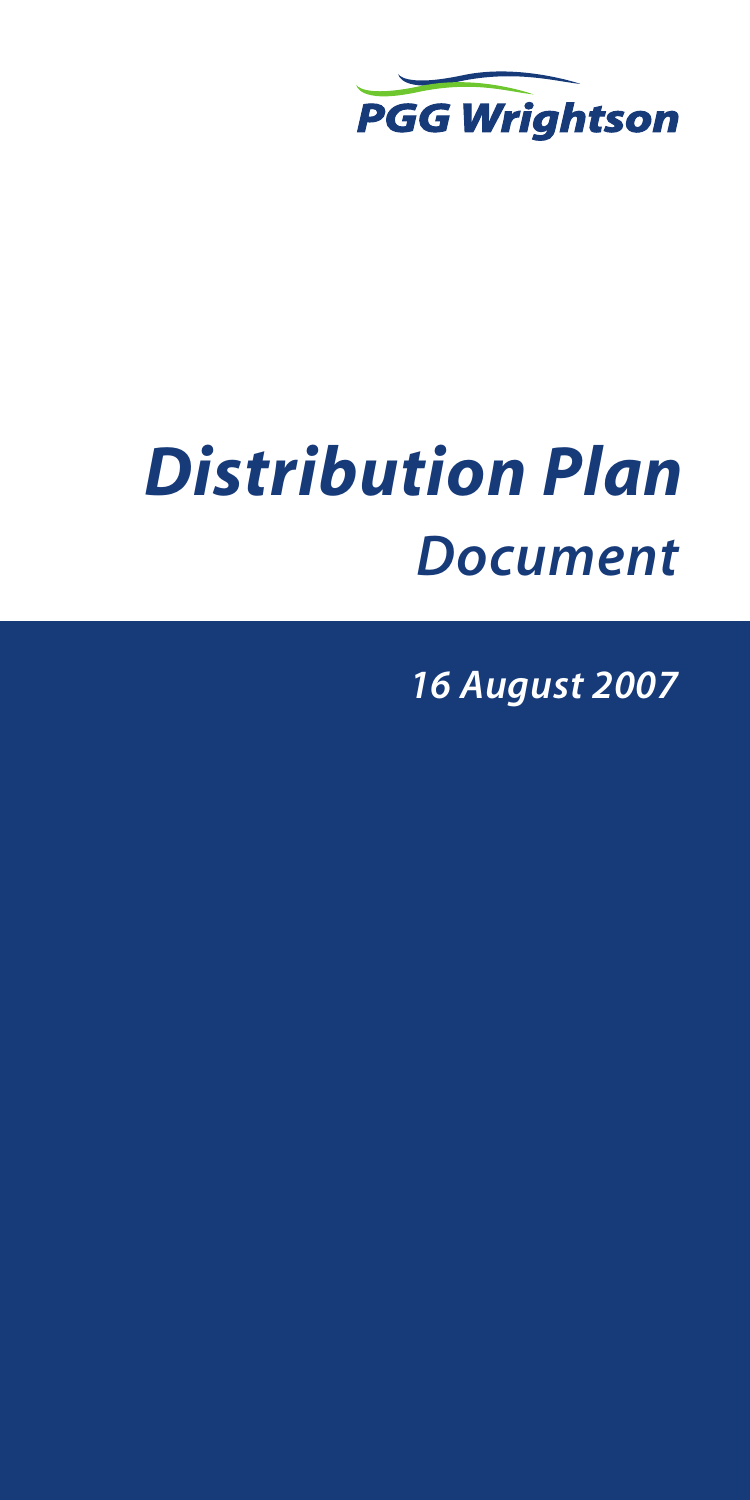

# *Distribution Plan Document*

*16 August 2007*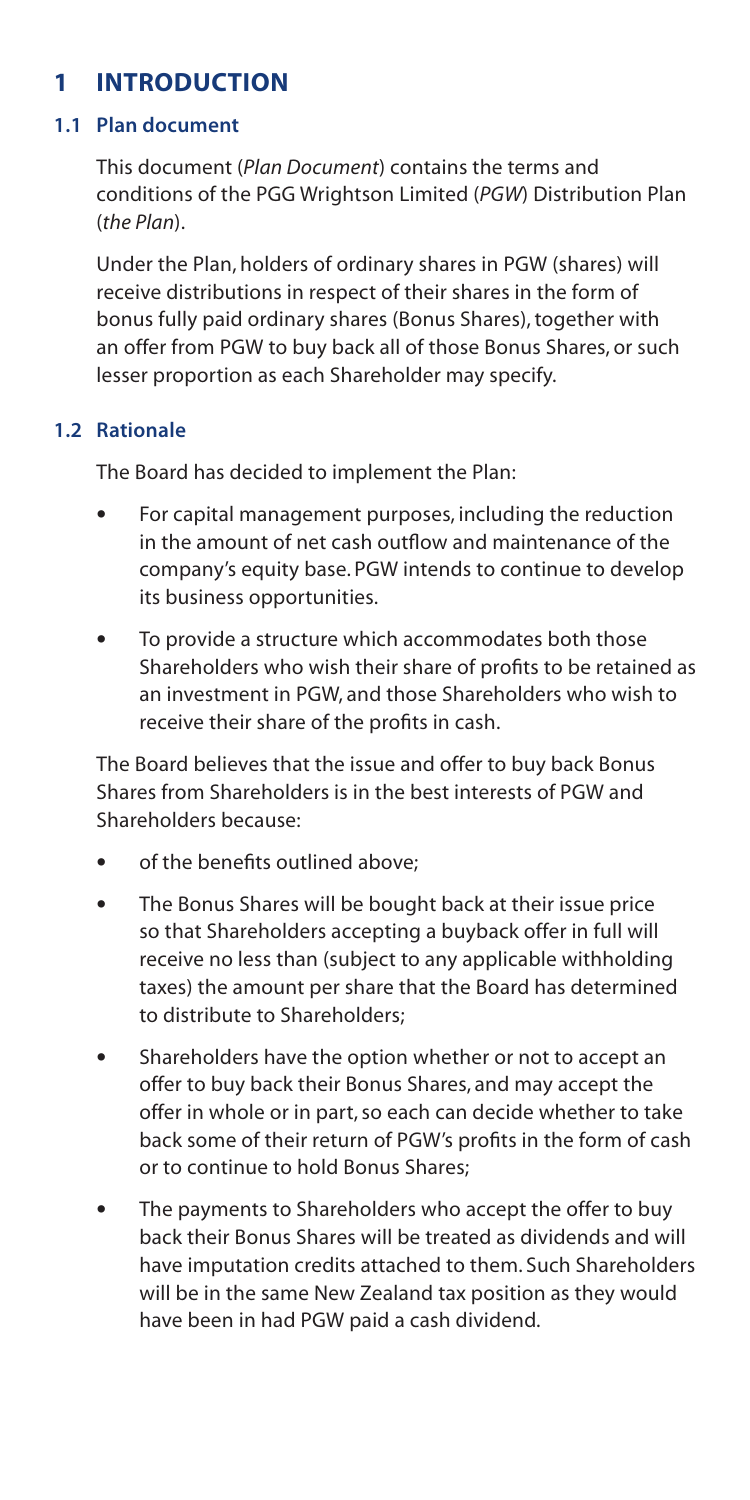# **1 INTRODUCTION**

## **1.1 Plan document**

This document (*Plan Document*) contains the terms and conditions of the PGG Wrightson Limited (*PGW*) Distribution Plan (*the Plan*).

Under the Plan, holders of ordinary shares in PGW (shares) will receive distributions in respect of their shares in the form of bonus fully paid ordinary shares (Bonus Shares), together with an offer from PGW to buy back all of those Bonus Shares, or such lesser proportion as each Shareholder may specify.

## **1.2 Rationale**

The Board has decided to implement the Plan:

- For capital management purposes, including the reduction in the amount of net cash outflow and maintenance of the company's equity base. PGW intends to continue to develop its business opportunities.
- To provide a structure which accommodates both those Shareholders who wish their share of profits to be retained as an investment in PGW, and those Shareholders who wish to receive their share of the profits in cash.

The Board believes that the issue and offer to buy back Bonus Shares from Shareholders is in the best interests of PGW and Shareholders because:

- of the benefits outlined above;
- The Bonus Shares will be bought back at their issue price so that Shareholders accepting a buyback offer in full will receive no less than (subject to any applicable withholding taxes) the amount per share that the Board has determined to distribute to Shareholders;
- Shareholders have the option whether or not to accept an offer to buy back their Bonus Shares, and may accept the offer in whole or in part, so each can decide whether to take back some of their return of PGW's profits in the form of cash or to continue to hold Bonus Shares;
- The payments to Shareholders who accept the offer to buy back their Bonus Shares will be treated as dividends and will have imputation credits attached to them. Such Shareholders will be in the same New Zealand tax position as they would have been in had PGW paid a cash dividend.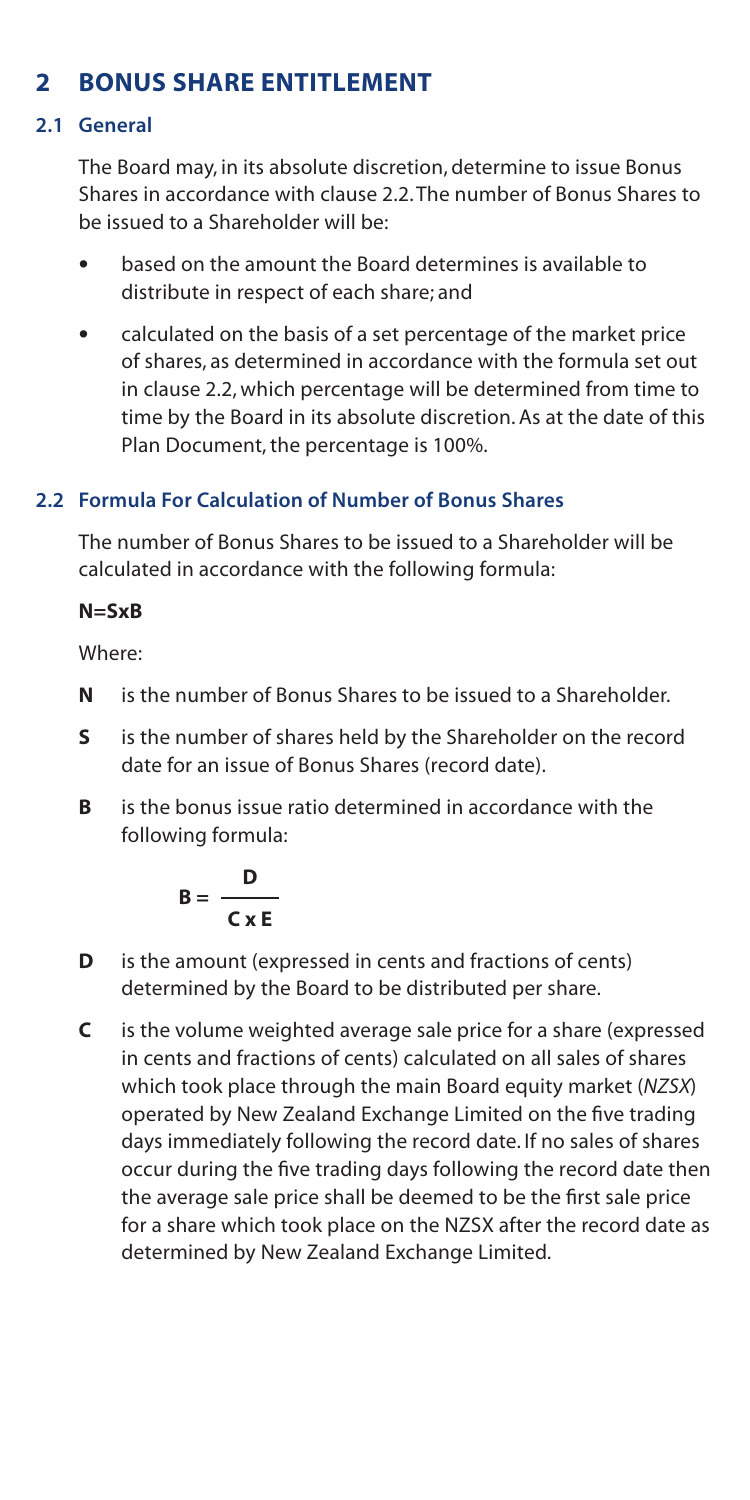# **2** BONUS SHARE ENTITI EMENT

## **2.1 General**

The Board may, in its absolute discretion, determine to issue Bonus Shares in accordance with clause 2.2. The number of Bonus Shares to be issued to a Shareholder will be:

- based on the amount the Board determines is available to distribute in respect of each share; and
- calculated on the basis of a set percentage of the market price of shares, as determined in accordance with the formula set out in clause 2.2, which percentage will be determined from time to time by the Board in its absolute discretion. As at the date of this Plan Document, the percentage is 100%.

# **2.2 Formula For Calculation of Number of Bonus Shares**

The number of Bonus Shares to be issued to a Shareholder will be calculated in accordance with the following formula:

## **N=SxB**

Where:

- **N** is the number of Bonus Shares to be issued to a Shareholder.
- **S** is the number of shares held by the Shareholder on the record date for an issue of Bonus Shares (record date).
- **B** is the bonus issue ratio determined in accordance with the following formula:

$$
B = \frac{D}{C \times E}
$$

- **D** is the amount (expressed in cents and fractions of cents) determined by the Board to be distributed per share.
- **C** is the volume weighted average sale price for a share (expressed in cents and fractions of cents) calculated on all sales of shares which took place through the main Board equity market (*NZSX*) operated by New Zealand Exchange Limited on the five trading days immediately following the record date. If no sales of shares occur during the five trading days following the record date then the average sale price shall be deemed to be the first sale price for a share which took place on the NZSX after the record date as determined by New Zealand Exchange Limited.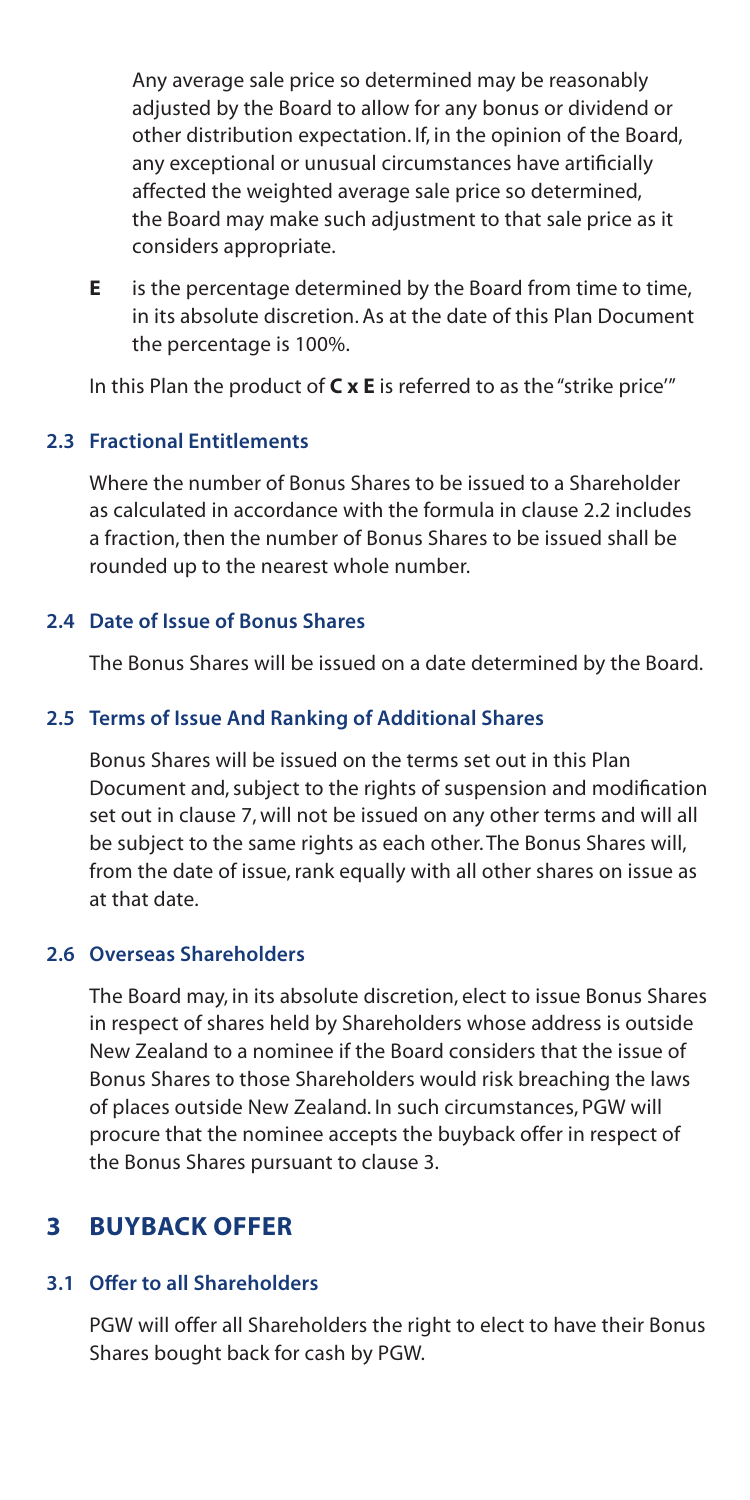Any average sale price so determined may be reasonably adjusted by the Board to allow for any bonus or dividend or other distribution expectation. If, in the opinion of the Board, any exceptional or unusual circumstances have artificially affected the weighted average sale price so determined, the Board may make such adjustment to that sale price as it considers appropriate.

**E** is the percentage determined by the Board from time to time, in its absolute discretion. As at the date of this Plan Document the percentage is 100%.

In this Plan the product of **C x E** is referred to as the "strike price'"

# **2.3 Fractional Entitlements**

Where the number of Bonus Shares to be issued to a Shareholder as calculated in accordance with the formula in clause 2.2 includes a fraction, then the number of Bonus Shares to be issued shall be rounded up to the nearest whole number.

## **2.4 Date of Issue of Bonus Shares**

The Bonus Shares will be issued on a date determined by the Board.

## **2.5 Terms of Issue And Ranking of Additional Shares**

Bonus Shares will be issued on the terms set out in this Plan Document and, subject to the rights of suspension and modification set out in clause 7, will not be issued on any other terms and will all be subject to the same rights as each other. The Bonus Shares will, from the date of issue, rank equally with all other shares on issue as at that date.

## **2.6 Overseas Shareholders**

The Board may, in its absolute discretion, elect to issue Bonus Shares in respect of shares held by Shareholders whose address is outside New Zealand to a nominee if the Board considers that the issue of Bonus Shares to those Shareholders would risk breaching the laws of places outside New Zealand. In such circumstances, PGW will procure that the nominee accepts the buyback offer in respect of the Bonus Shares pursuant to clause 3.

# **3 BUYBACK OFFER**

## **3.1 Offer to all Shareholders**

PGW will offer all Shareholders the right to elect to have their Bonus Shares bought back for cash by PGW.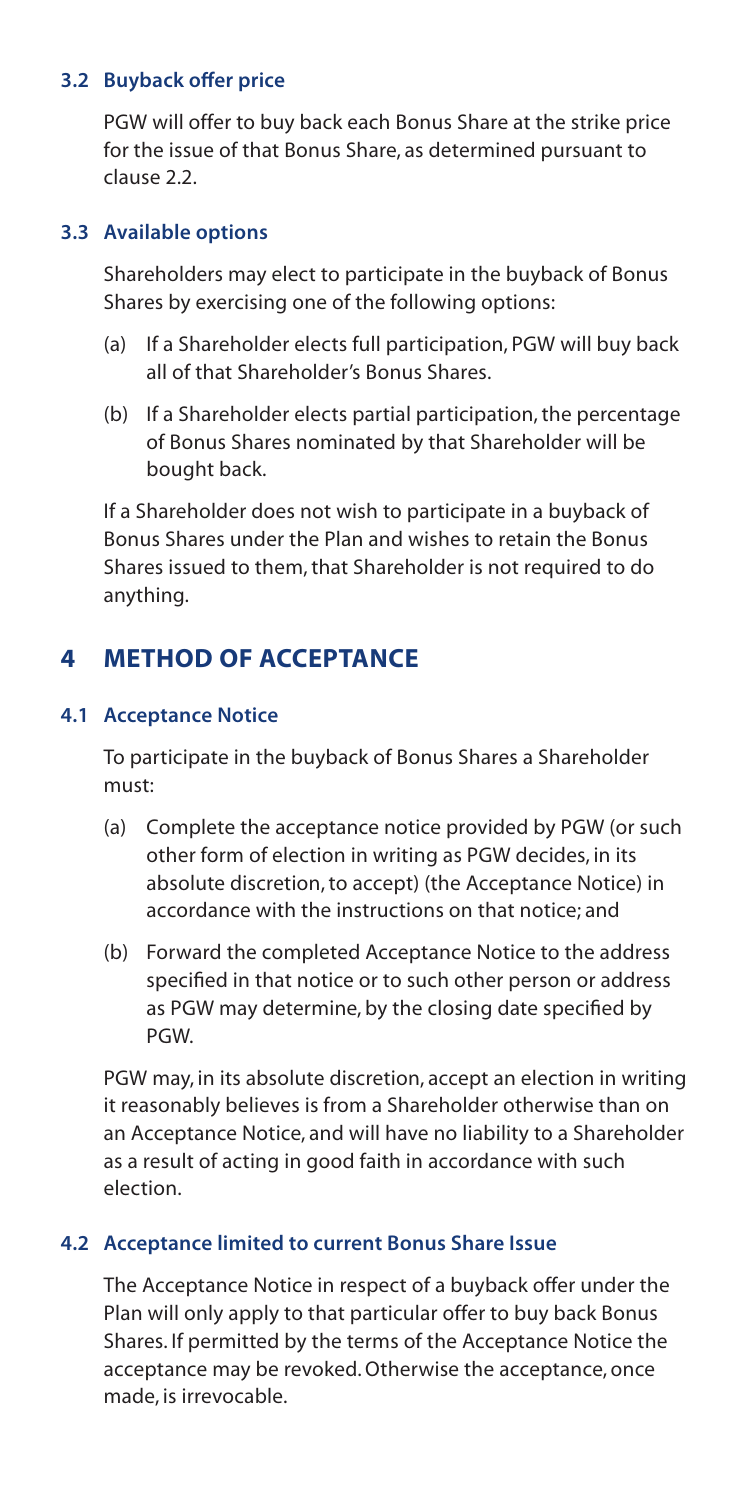## **3.2 Buyback offer price**

PGW will offer to buy back each Bonus Share at the strike price for the issue of that Bonus Share, as determined pursuant to clause 2.2.

## **3.3 Available options**

Shareholders may elect to participate in the buyback of Bonus Shares by exercising one of the following options:

- (a) If a Shareholder elects full participation, PGW will buy back all of that Shareholder's Bonus Shares.
- (b) If a Shareholder elects partial participation, the percentage of Bonus Shares nominated by that Shareholder will be bought back.

If a Shareholder does not wish to participate in a buyback of Bonus Shares under the Plan and wishes to retain the Bonus Shares issued to them, that Shareholder is not required to do anything.

# **4 METHOD OF ACCEPTANCE**

## **4.1 Acceptance Notice**

To participate in the buyback of Bonus Shares a Shareholder must:

- (a) Complete the acceptance notice provided by PGW (or such other form of election in writing as PGW decides, in its absolute discretion, to accept) (the Acceptance Notice) in accordance with the instructions on that notice; and
- (b) Forward the completed Acceptance Notice to the address specified in that notice or to such other person or address as PGW may determine, by the closing date specified by PGW.

PGW may, in its absolute discretion, accept an election in writing it reasonably believes is from a Shareholder otherwise than on an Acceptance Notice, and will have no liability to a Shareholder as a result of acting in good faith in accordance with such election.

# **4.2 Acceptance limited to current Bonus Share Issue**

The Acceptance Notice in respect of a buyback offer under the Plan will only apply to that particular offer to buy back Bonus Shares. If permitted by the terms of the Acceptance Notice the acceptance may be revoked. Otherwise the acceptance, once made, is irrevocable.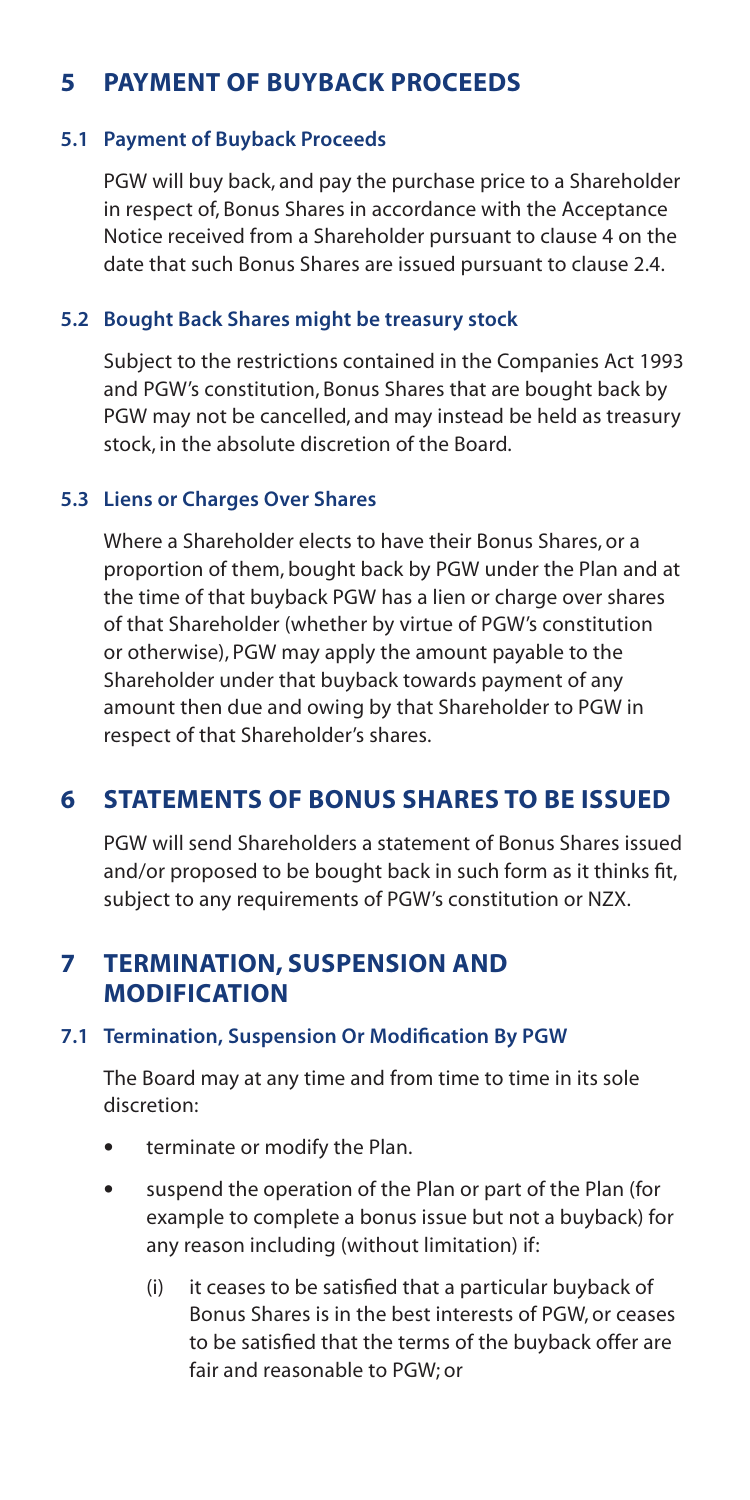# **5 PAYMENT OF BUYBACK PROCEEDS**

### **5.1 Payment of Buyback Proceeds**

PGW will buy back, and pay the purchase price to a Shareholder in respect of, Bonus Shares in accordance with the Acceptance Notice received from a Shareholder pursuant to clause 4 on the date that such Bonus Shares are issued pursuant to clause 2.4.

#### **5.2 Bought Back Shares might be treasury stock**

Subject to the restrictions contained in the Companies Act 1993 and PGW's constitution, Bonus Shares that are bought back by PGW may not be cancelled, and may instead be held as treasury stock, in the absolute discretion of the Board.

### **5.3 Liens or Charges Over Shares**

Where a Shareholder elects to have their Bonus Shares, or a proportion of them, bought back by PGW under the Plan and at the time of that buyback PGW has a lien or charge over shares of that Shareholder (whether by virtue of PGW's constitution or otherwise), PGW may apply the amount payable to the Shareholder under that buyback towards payment of any amount then due and owing by that Shareholder to PGW in respect of that Shareholder's shares.

# **6 STATEMENTS OF BONUS SHARES TO BE ISSUED**

PGW will send Shareholders a statement of Bonus Shares issued and/or proposed to be bought back in such form as it thinks fit, subject to any requirements of PGW's constitution or NZX.

# **7 TERMINATION, SUSPENSION AND MODIFICATION**

## **7.1 Termination, Suspension Or Modification By PGW**

The Board may at any time and from time to time in its sole discretion:

- terminate or modify the Plan.
- suspend the operation of the Plan or part of the Plan (for example to complete a bonus issue but not a buyback) for any reason including (without limitation) if:
	- (i) it ceases to be satisfied that a particular buyback of Bonus Shares is in the best interests of PGW, or ceases to be satisfied that the terms of the buyback offer are fair and reasonable to PGW; or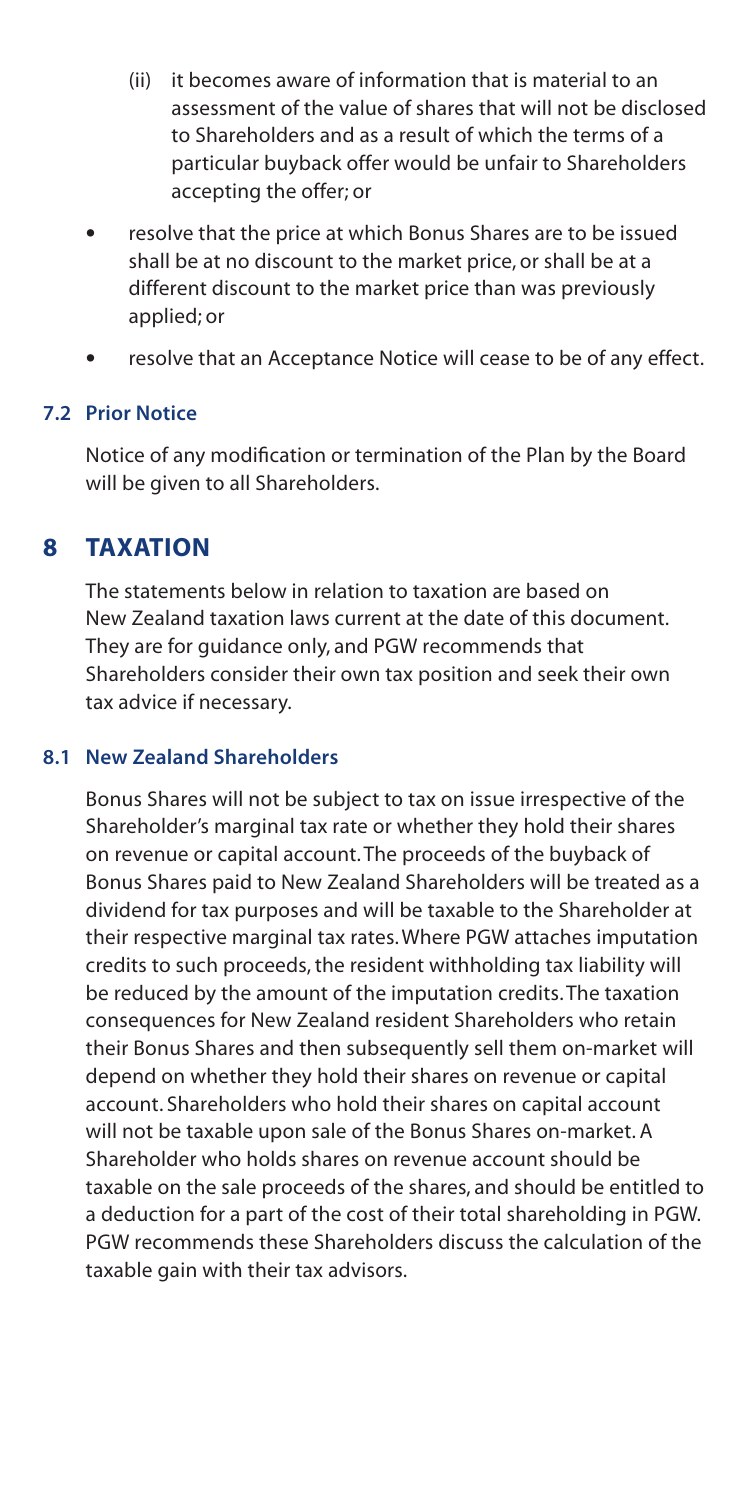- (ii) it becomes aware of information that is material to an assessment of the value of shares that will not be disclosed to Shareholders and as a result of which the terms of a particular buyback offer would be unfair to Shareholders accepting the offer; or
- resolve that the price at which Bonus Shares are to be issued shall be at no discount to the market price, or shall be at a different discount to the market price than was previously applied; or
- resolve that an Acceptance Notice will cease to be of any effect.

### **7.2 Prior Notice**

Notice of any modification or termination of the Plan by the Board will be given to all Shareholders.

# **8 TAXATION**

The statements below in relation to taxation are based on New Zealand taxation laws current at the date of this document. They are for guidance only, and PGW recommends that Shareholders consider their own tax position and seek their own tax advice if necessary.

## **8.1 New Zealand Shareholders**

Bonus Shares will not be subject to tax on issue irrespective of the Shareholder's marginal tax rate or whether they hold their shares on revenue or capital account. The proceeds of the buyback of Bonus Shares paid to New Zealand Shareholders will be treated as a dividend for tax purposes and will be taxable to the Shareholder at their respective marginal tax rates. Where PGW attaches imputation credits to such proceeds, the resident withholding tax liability will be reduced by the amount of the imputation credits. The taxation consequences for New Zealand resident Shareholders who retain their Bonus Shares and then subsequently sell them on-market will depend on whether they hold their shares on revenue or capital account. Shareholders who hold their shares on capital account will not be taxable upon sale of the Bonus Shares on-market. A Shareholder who holds shares on revenue account should be taxable on the sale proceeds of the shares, and should be entitled to a deduction for a part of the cost of their total shareholding in PGW. PGW recommends these Shareholders discuss the calculation of the taxable gain with their tax advisors.